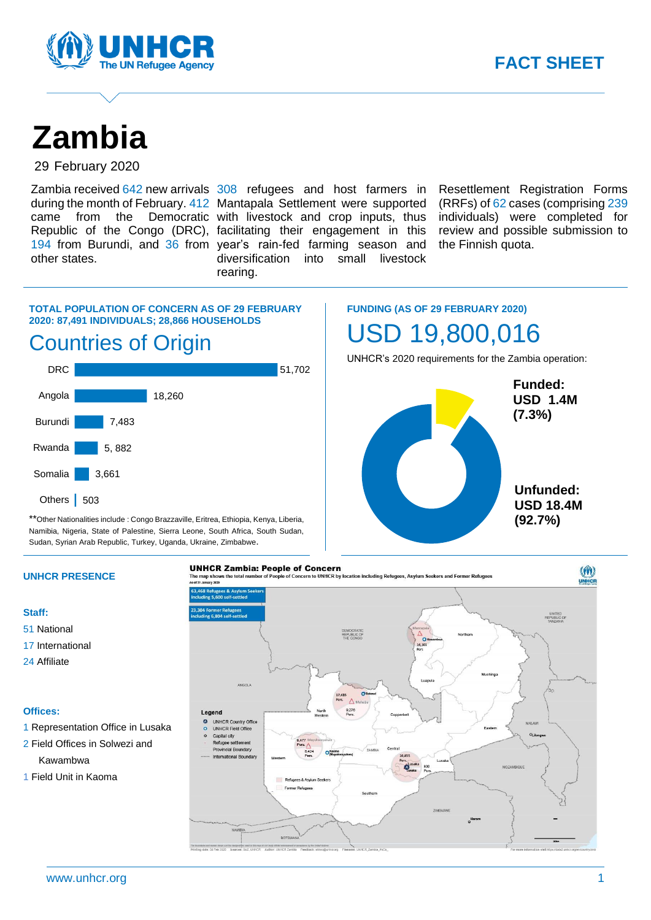

# **Zambia**

29 February 2020

other states.

Zambia received 642 new arrivals 308 refugees and host farmers in during the month of February. 412 Mantapala Settlement were supported came from the Democratic with livestock and crop inputs, thus Republic of the Congo (DRC), facilitating their engagement in this 194 from Burundi, and 36 from year's rain-fed farming season and diversification into small livestock rearing.

Resettlement Registration Forms (RRFs) of 62 cases (comprising 239 individuals) were completed for review and possible submission to the Finnish quota.

### **TOTAL POPULATION OF CONCERN AS OF 29 FEBRUARY 2020: 87,491 INDIVIDUALS; 28,866 HOUSEHOLDS**

.

### Countries of Origin



\*\*Other Nationalities include : Congo Brazzaville, Eritrea, Ethiopia, Kenya, Liberia, Namibia, Nigeria, State of Palestine, Sierra Leone, South Africa, South Sudan, Sudan, Syrian Arab Republic, Turkey, Uganda, Ukraine, Zimbabwe.

**FUNDING (AS OF 29 FEBRUARY 2020)** USD 19,800,016

UNHCR's 2020 requirements for the Zambia operation:



#### **UNHCR PRESENCE**

**Staff:**

- 51 National
- 17 International
- 24 Affiliate

#### **Offices:**

- 1 Representation Office in Lusaka
- 2 Field Offices in Solwezi and

Kawambwa

1 Field Unit in Kaoma

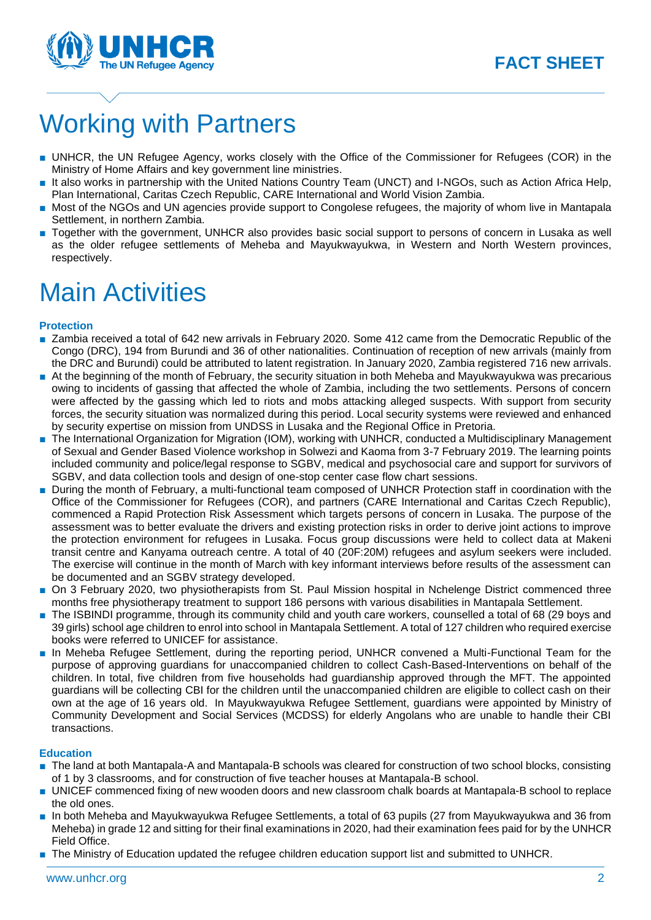

## Working with Partners

- UNHCR, the UN Refugee Agency, works closely with the Office of the Commissioner for Refugees (COR) in the Ministry of Home Affairs and key government line ministries.
- It also works in partnership with the United Nations Country Team (UNCT) and I-NGOs, such as Action Africa Help, Plan International, Caritas Czech Republic, CARE International and World Vision Zambia.
- Most of the NGOs and UN agencies provide support to Congolese refugees, the majority of whom live in Mantapala Settlement, in northern Zambia.
- Together with the government, UNHCR also provides basic social support to persons of concern in Lusaka as well as the older refugee settlements of Meheba and Mayukwayukwa, in Western and North Western provinces, respectively.

### Main Activities

#### **Protection**

- Zambia received a total of 642 new arrivals in February 2020. Some 412 came from the Democratic Republic of the Congo (DRC), 194 from Burundi and 36 of other nationalities. Continuation of reception of new arrivals (mainly from the DRC and Burundi) could be attributed to latent registration. In January 2020, Zambia registered 716 new arrivals.
- At the beginning of the month of February, the security situation in both Meheba and Mayukwayukwa was precarious owing to incidents of gassing that affected the whole of Zambia, including the two settlements. Persons of concern were affected by the gassing which led to riots and mobs attacking alleged suspects. With support from security forces, the security situation was normalized during this period. Local security systems were reviewed and enhanced by security expertise on mission from UNDSS in Lusaka and the Regional Office in Pretoria.
- The International Organization for Migration (IOM), working with UNHCR, conducted a Multidisciplinary Management of Sexual and Gender Based Violence workshop in Solwezi and Kaoma from 3-7 February 2019. The learning points included community and police/legal response to SGBV, medical and psychosocial care and support for survivors of SGBV, and data collection tools and design of one-stop center case flow chart sessions.
- During the month of February, a multi-functional team composed of UNHCR Protection staff in coordination with the Office of the Commissioner for Refugees (COR), and partners (CARE International and Caritas Czech Republic), commenced a Rapid Protection Risk Assessment which targets persons of concern in Lusaka. The purpose of the assessment was to better evaluate the drivers and existing protection risks in order to derive joint actions to improve the protection environment for refugees in Lusaka. Focus group discussions were held to collect data at Makeni transit centre and Kanyama outreach centre. A total of 40 (20F:20M) refugees and asylum seekers were included. The exercise will continue in the month of March with key informant interviews before results of the assessment can be documented and an SGBV strategy developed.
- On 3 February 2020, two physiotherapists from St. Paul Mission hospital in Nchelenge District commenced three months free physiotherapy treatment to support 186 persons with various disabilities in Mantapala Settlement.
- The ISBINDI programme, through its community child and youth care workers, counselled a total of 68 (29 boys and 39 girls) school age children to enrol into school in Mantapala Settlement. A total of 127 children who required exercise books were referred to UNICEF for assistance.
- In Meheba Refugee Settlement, during the reporting period, UNHCR convened a Multi-Functional Team for the purpose of approving guardians for unaccompanied children to collect Cash-Based-Interventions on behalf of the children. In total, five children from five households had guardianship approved through the MFT. The appointed guardians will be collecting CBI for the children until the unaccompanied children are eligible to collect cash on their own at the age of 16 years old. In Mayukwayukwa Refugee Settlement, guardians were appointed by Ministry of Community Development and Social Services (MCDSS) for elderly Angolans who are unable to handle their CBI transactions.

#### **Education**

- The land at both Mantapala-A and Mantapala-B schools was cleared for construction of two school blocks, consisting of 1 by 3 classrooms, and for construction of five teacher houses at Mantapala-B school.
- UNICEF commenced fixing of new wooden doors and new classroom chalk boards at Mantapala-B school to replace the old ones.
- In both Meheba and Mayukwayukwa Refugee Settlements, a total of 63 pupils (27 from Mayukwayukwa and 36 from Meheba) in grade 12 and sitting for their final examinations in 2020, had their examination fees paid for by the UNHCR Field Office.
- The Ministry of Education updated the refugee children education support list and submitted to UNHCR.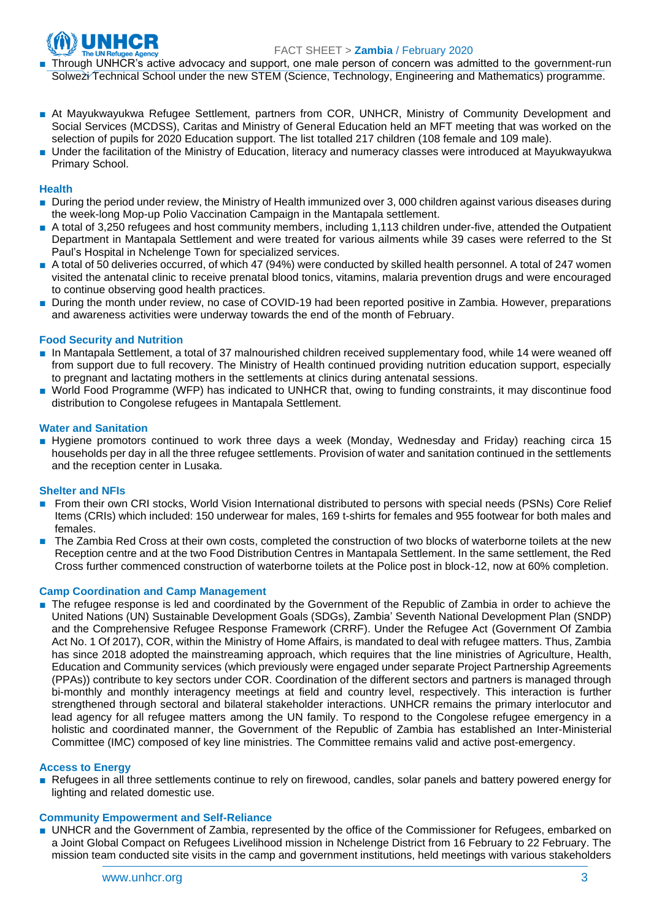

- Through UNHCR's active advocacy and support, one male person of concern was admitted to the government-run Solwezi Technical School under the new STEM (Science, Technology, Engineering and Mathematics) programme.
- At Mayukwayukwa Refugee Settlement, partners from COR, UNHCR, Ministry of Community Development and Social Services (MCDSS), Caritas and Ministry of General Education held an MFT meeting that was worked on the selection of pupils for 2020 Education support. The list totalled 217 children (108 female and 109 male).
- Under the facilitation of the Ministry of Education, literacy and numeracy classes were introduced at Mayukwayukwa Primary School.

#### **Health**

- During the period under review, the Ministry of Health immunized over 3, 000 children against various diseases during the week-long Mop-up Polio Vaccination Campaign in the Mantapala settlement.
- A total of 3,250 refugees and host community members, including 1,113 children under-five, attended the Outpatient Department in Mantapala Settlement and were treated for various ailments while 39 cases were referred to the St Paul's Hospital in Nchelenge Town for specialized services.
- A total of 50 deliveries occurred, of which 47 (94%) were conducted by skilled health personnel. A total of 247 women visited the antenatal clinic to receive prenatal blood tonics, vitamins, malaria prevention drugs and were encouraged to continue observing good health practices.
- During the month under review, no case of COVID-19 had been reported positive in Zambia. However, preparations and awareness activities were underway towards the end of the month of February.

#### **Food Security and Nutrition**

- In Mantapala Settlement, a total of 37 malnourished children received supplementary food, while 14 were weaned off from support due to full recovery. The Ministry of Health continued providing nutrition education support, especially to pregnant and lactating mothers in the settlements at clinics during antenatal sessions.
- World Food Programme (WFP) has indicated to UNHCR that, owing to funding constraints, it may discontinue food distribution to Congolese refugees in Mantapala Settlement.

#### **Water and Sanitation**

■ Hygiene promotors continued to work three days a week (Monday, Wednesday and Friday) reaching circa 15 households per day in all the three refugee settlements. Provision of water and sanitation continued in the settlements and the reception center in Lusaka.

#### **Shelter and NFIs**

- From their own CRI stocks, World Vision International distributed to persons with special needs (PSNs) Core Relief Items (CRIs) which included: 150 underwear for males, 169 t-shirts for females and 955 footwear for both males and females.
- The Zambia Red Cross at their own costs, completed the construction of two blocks of waterborne toilets at the new Reception centre and at the two Food Distribution Centres in Mantapala Settlement. In the same settlement, the Red Cross further commenced construction of waterborne toilets at the Police post in block-12, now at 60% completion.

#### **Camp Coordination and Camp Management**

■ The refugee response is led and coordinated by the Government of the Republic of Zambia in order to achieve the United Nations (UN) Sustainable Development Goals (SDGs), Zambia' Seventh National Development Plan (SNDP) and the Comprehensive Refugee Response Framework (CRRF). Under the Refugee Act [\(Government Of Zambia](https://eur02.safelinks.protection.outlook.com/?url=http%3A%2F%2Fwww.parliament.gov.zm%2Fsites%2Fdefault%2Ffiles%2Fdocuments%2Facts%2FThe%2520Refugees%2520Act%2520No.%25201%2520of%25202017.pdf&data=02%7C01%7Cshimo%40unhcr.org%7C532077eff6ab434da56e08d6e42fa830%7Ce5c37981666441348a0c6543d2af80be%7C0%7C0%7C636947290662179288&sdata=x2Etd9IU5mKhOA9Oiu7AadKtzS7V8Zp1hCnuX2ar7%2BA%3D&reserved=0)  [Act No. 1 Of 2017\)](https://eur02.safelinks.protection.outlook.com/?url=http%3A%2F%2Fwww.parliament.gov.zm%2Fsites%2Fdefault%2Ffiles%2Fdocuments%2Facts%2FThe%2520Refugees%2520Act%2520No.%25201%2520of%25202017.pdf&data=02%7C01%7Cshimo%40unhcr.org%7C532077eff6ab434da56e08d6e42fa830%7Ce5c37981666441348a0c6543d2af80be%7C0%7C0%7C636947290662179288&sdata=x2Etd9IU5mKhOA9Oiu7AadKtzS7V8Zp1hCnuX2ar7%2BA%3D&reserved=0), COR, within the Ministry of Home Affairs, is mandated to deal with refugee matters. Thus, Zambia has since 2018 adopted the mainstreaming approach, which requires that the line ministries of Agriculture, Health, Education and Community services (which previously were engaged under separate Project Partnership Agreements (PPAs)) contribute to key sectors under COR. Coordination of the different sectors and partners is managed through bi-monthly and monthly interagency meetings at field and country level, respectively. This interaction is further strengthened through sectoral and bilateral stakeholder interactions. UNHCR remains the primary interlocutor and lead agency for all refugee matters among the UN family. To respond to the Congolese refugee emergency in a holistic and coordinated manner, the Government of the Republic of Zambia has established an Inter-Ministerial Committee (IMC) composed of key line ministries. The Committee remains valid and active post-emergency.

#### **Access to Energy**

■ Refugees in all three settlements continue to rely on firewood, candles, solar panels and battery powered energy for lighting and related domestic use.

#### **Community Empowerment and Self-Reliance**

■ UNHCR and the Government of Zambia, represented by the office of the Commissioner for Refugees, embarked on a Joint Global Compact on Refugees Livelihood mission in Nchelenge District from 16 February to 22 February. The mission team conducted site visits in the camp and government institutions, held meetings with various stakeholders